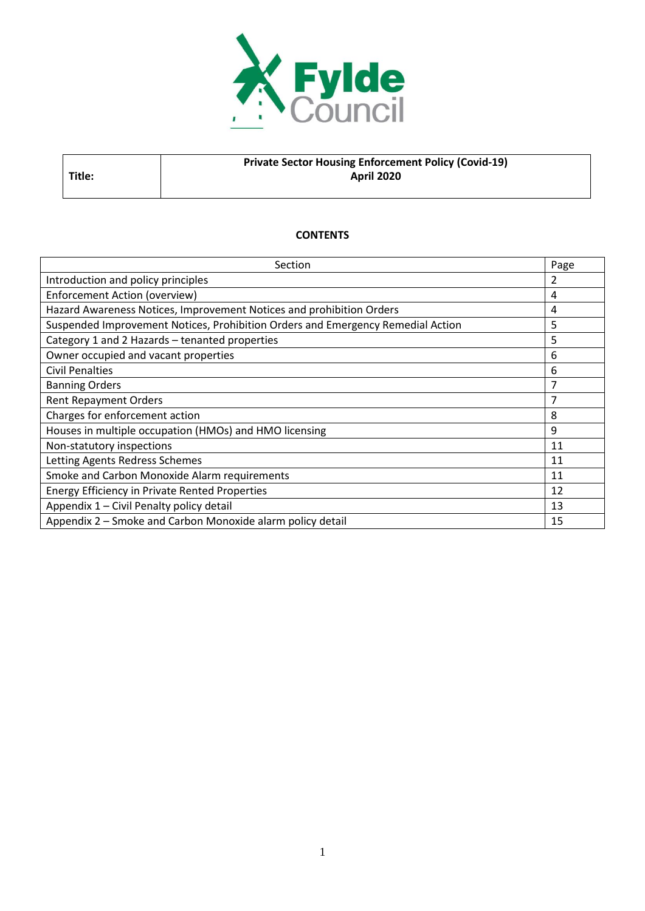

# **Private Sector Housing Enforcement Policy (Covid-19) April 2020**

#### **CONTENTS**

**Title:**

| Section                                                                         | Page |
|---------------------------------------------------------------------------------|------|
| Introduction and policy principles                                              | 2    |
| Enforcement Action (overview)                                                   | 4    |
| Hazard Awareness Notices, Improvement Notices and prohibition Orders            | 4    |
| Suspended Improvement Notices, Prohibition Orders and Emergency Remedial Action | 5    |
| Category 1 and 2 Hazards - tenanted properties                                  | 5    |
| Owner occupied and vacant properties                                            | 6    |
| <b>Civil Penalties</b>                                                          | 6    |
| <b>Banning Orders</b>                                                           | 7    |
| <b>Rent Repayment Orders</b>                                                    | 7    |
| Charges for enforcement action                                                  | 8    |
| Houses in multiple occupation (HMOs) and HMO licensing                          | 9    |
| Non-statutory inspections                                                       | 11   |
| Letting Agents Redress Schemes                                                  | 11   |
| Smoke and Carbon Monoxide Alarm requirements                                    | 11   |
| <b>Energy Efficiency in Private Rented Properties</b>                           | 12   |
| Appendix 1 - Civil Penalty policy detail                                        | 13   |
| Appendix 2 - Smoke and Carbon Monoxide alarm policy detail                      | 15   |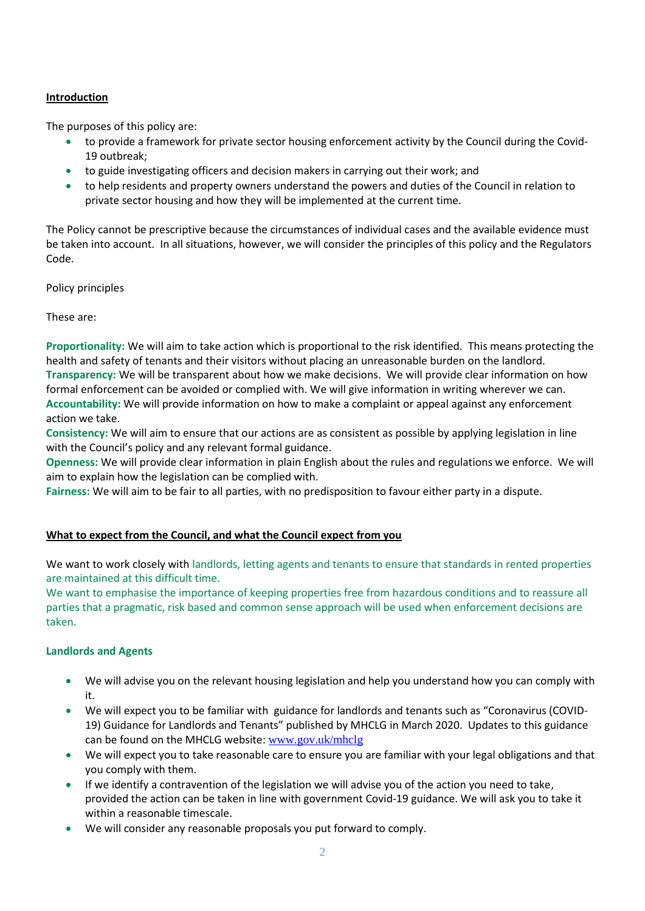## **Introduction**

The purposes of this policy are:

- to provide a framework for private sector housing enforcement activity by the Council during the Covid-19 outbreak;
- to guide investigating officers and decision makers in carrying out their work; and
- to help residents and property owners understand the powers and duties of the Council in relation to private sector housing and how they will be implemented at the current time.

The Policy cannot be prescriptive because the circumstances of individual cases and the available evidence must be taken into account. In all situations, however, we will consider the principles of this policy and the Regulators Code.

Policy principles

These are:

**Proportionality:** We will aim to take action which is proportional to the risk identified. This means protecting the health and safety of tenants and their visitors without placing an unreasonable burden on the landlord. **Transparency:** We will be transparent about how we make decisions. We will provide clear information on how formal enforcement can be avoided or complied with. We will give information in writing wherever we can. **Accountability:** We will provide information on how to make a complaint or appeal against any enforcement action we take.

**Consistency:** We will aim to ensure that our actions are as consistent as possible by applying legislation in line with the Council's policy and any relevant formal guidance.

**Openness:** We will provide clear information in plain English about the rules and regulations we enforce. We will aim to explain how the legislation can be complied with.

**Fairness:** We will aim to be fair to all parties, with no predisposition to favour either party in a dispute.

## **What to expect from the Council, and what the Council expect from you**

We want to work closely with landlords, letting agents and tenants to ensure that standards in rented properties are maintained at this difficult time.

We want to emphasise the importance of keeping properties free from hazardous conditions and to reassure all parties that a pragmatic, risk based and common sense approach will be used when enforcement decisions are taken.

#### **Landlords and Agents**

- We will advise you on the relevant housing legislation and help you understand how you can comply with it.
- We will expect you to be familiar with guidance for landlords and tenants such as "Coronavirus (COVID-19) Guidance for Landlords and Tenants" published by MHCLG in March 2020. Updates to this guidance can be found on the MHCLG website: [www.gov.uk/mhclg](http://www.gov.uk/mhclg)
- We will expect you to take reasonable care to ensure you are familiar with your legal obligations and that you comply with them.
- If we identify a contravention of the legislation we will advise you of the action you need to take, provided the action can be taken in line with government Covid-19 guidance. We will ask you to take it within a reasonable timescale.
- We will consider any reasonable proposals you put forward to comply.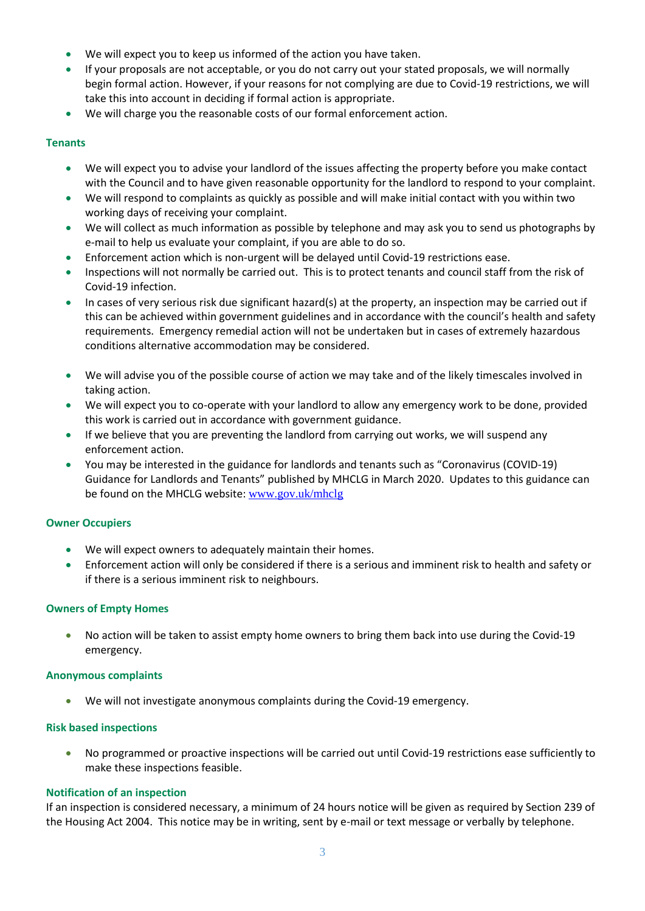- We will expect you to keep us informed of the action you have taken.
- If your proposals are not acceptable, or you do not carry out your stated proposals, we will normally begin formal action. However, if your reasons for not complying are due to Covid-19 restrictions, we will take this into account in deciding if formal action is appropriate.
- We will charge you the reasonable costs of our formal enforcement action.

#### **Tenants**

- We will expect you to advise your landlord of the issues affecting the property before you make contact with the Council and to have given reasonable opportunity for the landlord to respond to your complaint.
- We will respond to complaints as quickly as possible and will make initial contact with you within two working days of receiving your complaint.
- We will collect as much information as possible by telephone and may ask you to send us photographs by e-mail to help us evaluate your complaint, if you are able to do so.
- Enforcement action which is non-urgent will be delayed until Covid-19 restrictions ease.
- Inspections will not normally be carried out. This is to protect tenants and council staff from the risk of Covid-19 infection.
- In cases of very serious risk due significant hazard(s) at the property, an inspection may be carried out if this can be achieved within government guidelines and in accordance with the council's health and safety requirements. Emergency remedial action will not be undertaken but in cases of extremely hazardous conditions alternative accommodation may be considered.
- We will advise you of the possible course of action we may take and of the likely timescales involved in taking action.
- We will expect you to co-operate with your landlord to allow any emergency work to be done, provided this work is carried out in accordance with government guidance.
- If we believe that you are preventing the landlord from carrying out works, we will suspend any enforcement action.
- You may be interested in the guidance for landlords and tenants such as "Coronavirus (COVID-19) Guidance for Landlords and Tenants" published by MHCLG in March 2020. Updates to this guidance can be found on the MHCLG website: [www.gov.uk/mhclg](http://www.gov.uk/mhclg)

#### **Owner Occupiers**

- We will expect owners to adequately maintain their homes.
- Enforcement action will only be considered if there is a serious and imminent risk to health and safety or if there is a serious imminent risk to neighbours.

#### **Owners of Empty Homes**

• No action will be taken to assist empty home owners to bring them back into use during the Covid-19 emergency.

#### **Anonymous complaints**

• We will not investigate anonymous complaints during the Covid-19 emergency.

#### **Risk based inspections**

• No programmed or proactive inspections will be carried out until Covid-19 restrictions ease sufficiently to make these inspections feasible.

#### **Notification of an inspection**

If an inspection is considered necessary, a minimum of 24 hours notice will be given as required by Section 239 of the Housing Act 2004. This notice may be in writing, sent by e-mail or text message or verbally by telephone.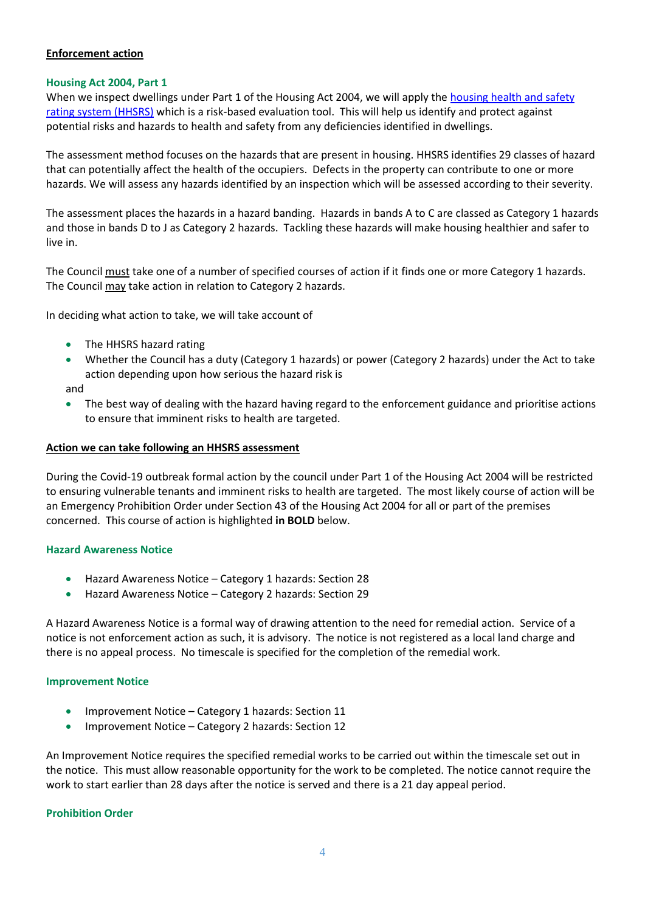### **Enforcement action**

#### **Housing Act 2004, Part 1**

When we inspect dwellings under Part 1 of the Housing Act 2004, we will apply th[e housing health and safety](https://www.gov.uk/government/publications/housing-health-and-safety-rating-system-guidance-for-landlords-and-property-related-professionals)  [rating system \(HHSRS\)](https://www.gov.uk/government/publications/housing-health-and-safety-rating-system-guidance-for-landlords-and-property-related-professionals) which is a risk-based evaluation tool. This will help us identify and protect against potential risks and hazards to health and safety from any deficiencies identified in dwellings.

The assessment method focuses on the hazards that are present in housing. HHSRS identifies 29 classes of hazard that can potentially affect the health of the occupiers. Defects in the property can contribute to one or more hazards. We will assess any hazards identified by an inspection which will be assessed according to their severity.

The assessment places the hazards in a hazard banding. Hazards in bands A to C are classed as Category 1 hazards and those in bands D to J as Category 2 hazards. Tackling these hazards will make housing healthier and safer to live in.

The Council must take one of a number of specified courses of action if it finds one or more Category 1 hazards. The Council may take action in relation to Category 2 hazards.

In deciding what action to take, we will take account of

- The HHSRS hazard rating
- Whether the Council has a duty (Category 1 hazards) or power (Category 2 hazards) under the Act to take action depending upon how serious the hazard risk is

and

• The best way of dealing with the hazard having regard to the enforcement guidance and prioritise actions to ensure that imminent risks to health are targeted.

### **Action we can take following an HHSRS assessment**

During the Covid-19 outbreak formal action by the council under Part 1 of the Housing Act 2004 will be restricted to ensuring vulnerable tenants and imminent risks to health are targeted. The most likely course of action will be an Emergency Prohibition Order under Section 43 of the Housing Act 2004 for all or part of the premises concerned. This course of action is highlighted **in BOLD** below.

## **Hazard Awareness Notice**

- Hazard Awareness Notice Category 1 hazards: Section 28
- Hazard Awareness Notice Category 2 hazards: Section 29

A Hazard Awareness Notice is a formal way of drawing attention to the need for remedial action. Service of a notice is not enforcement action as such, it is advisory. The notice is not registered as a local land charge and there is no appeal process. No timescale is specified for the completion of the remedial work.

#### **Improvement Notice**

- Improvement Notice Category 1 hazards: Section 11
- Improvement Notice Category 2 hazards: Section 12

An Improvement Notice requires the specified remedial works to be carried out within the timescale set out in the notice. This must allow reasonable opportunity for the work to be completed. The notice cannot require the work to start earlier than 28 days after the notice is served and there is a 21 day appeal period.

#### **Prohibition Order**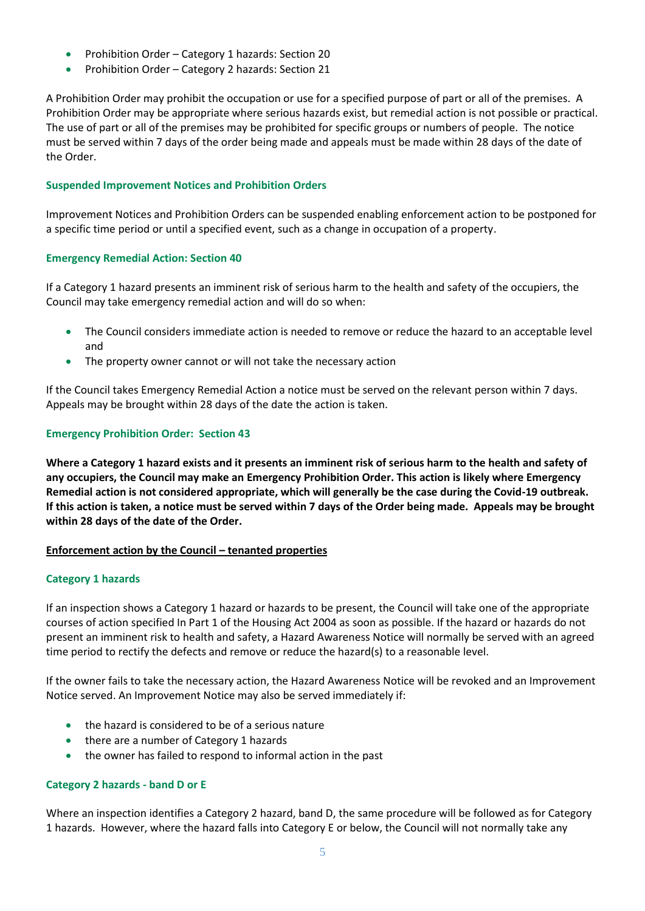- Prohibition Order Category 1 hazards: Section 20
- Prohibition Order Category 2 hazards: Section 21

A Prohibition Order may prohibit the occupation or use for a specified purpose of part or all of the premises. A Prohibition Order may be appropriate where serious hazards exist, but remedial action is not possible or practical. The use of part or all of the premises may be prohibited for specific groups or numbers of people. The notice must be served within 7 days of the order being made and appeals must be made within 28 days of the date of the Order.

#### **Suspended Improvement Notices and Prohibition Orders**

Improvement Notices and Prohibition Orders can be suspended enabling enforcement action to be postponed for a specific time period or until a specified event, such as a change in occupation of a property.

### **Emergency Remedial Action: Section 40**

If a Category 1 hazard presents an imminent risk of serious harm to the health and safety of the occupiers, the Council may take emergency remedial action and will do so when:

- The Council considers immediate action is needed to remove or reduce the hazard to an acceptable level and
- The property owner cannot or will not take the necessary action

If the Council takes Emergency Remedial Action a notice must be served on the relevant person within 7 days. Appeals may be brought within 28 days of the date the action is taken.

### **Emergency Prohibition Order: Section 43**

**Where a Category 1 hazard exists and it presents an imminent risk of serious harm to the health and safety of any occupiers, the Council may make an Emergency Prohibition Order. This action is likely where Emergency Remedial action is not considered appropriate, which will generally be the case during the Covid-19 outbreak. If this action is taken, a notice must be served within 7 days of the Order being made. Appeals may be brought within 28 days of the date of the Order.**

#### **Enforcement action by the Council – tenanted properties**

#### **Category 1 hazards**

If an inspection shows a Category 1 hazard or hazards to be present, the Council will take one of the appropriate courses of action specified In Part 1 of the Housing Act 2004 as soon as possible. If the hazard or hazards do not present an imminent risk to health and safety, a Hazard Awareness Notice will normally be served with an agreed time period to rectify the defects and remove or reduce the hazard(s) to a reasonable level.

If the owner fails to take the necessary action, the Hazard Awareness Notice will be revoked and an Improvement Notice served. An Improvement Notice may also be served immediately if:

- the hazard is considered to be of a serious nature
- there are a number of Category 1 hazards
- the owner has failed to respond to informal action in the past

#### **Category 2 hazards - band D or E**

Where an inspection identifies a Category 2 hazard, band D, the same procedure will be followed as for Category 1 hazards. However, where the hazard falls into Category E or below, the Council will not normally take any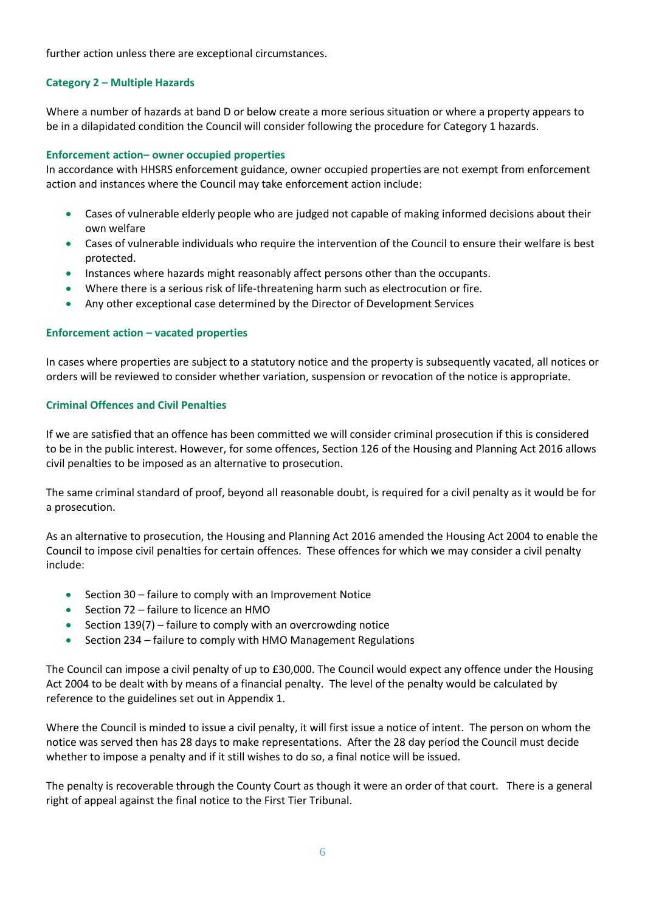further action unless there are exceptional circumstances.

### **Category 2 – Multiple Hazards**

Where a number of hazards at band D or below create a more serious situation or where a property appears to be in a dilapidated condition the Council will consider following the procedure for Category 1 hazards.

#### **Enforcement action– owner occupied properties**

In accordance with HHSRS enforcement guidance, owner occupied properties are not exempt from enforcement action and instances where the Council may take enforcement action include:

- Cases of vulnerable elderly people who are judged not capable of making informed decisions about their own welfare
- Cases of vulnerable individuals who require the intervention of the Council to ensure their welfare is best protected.
- Instances where hazards might reasonably affect persons other than the occupants.
- Where there is a serious risk of life-threatening harm such as electrocution or fire.
- Any other exceptional case determined by the Director of Development Services

### **Enforcement action – vacated properties**

In cases where properties are subject to a statutory notice and the property is subsequently vacated, all notices or orders will be reviewed to consider whether variation, suspension or revocation of the notice is appropriate.

#### **Criminal Offences and Civil Penalties**

If we are satisfied that an offence has been committed we will consider criminal prosecution if this is considered to be in the public interest. However, for some offences, Section 126 of the Housing and Planning Act 2016 allows civil penalties to be imposed as an alternative to prosecution.

The same criminal standard of proof, beyond all reasonable doubt, is required for a civil penalty as it would be for a prosecution.

As an alternative to prosecution, the Housing and Planning Act 2016 amended the Housing Act 2004 to enable the Council to impose civil penalties for certain offences. These offences for which we may consider a civil penalty include:

- Section 30 failure to comply with an Improvement Notice
- Section 72 failure to licence an HMO
- Section 139(7) failure to comply with an overcrowding notice
- Section 234 failure to comply with HMO Management Regulations

The Council can impose a civil penalty of up to £30,000. The Council would expect any offence under the Housing Act 2004 to be dealt with by means of a financial penalty. The level of the penalty would be calculated by reference to the guidelines set out in Appendix 1.

Where the Council is minded to issue a civil penalty, it will first issue a notice of intent. The person on whom the notice was served then has 28 days to make representations. After the 28 day period the Council must decide whether to impose a penalty and if it still wishes to do so, a final notice will be issued.

The penalty is recoverable through the County Court as though it were an order of that court. There is a general right of appeal against the final notice to the First Tier Tribunal.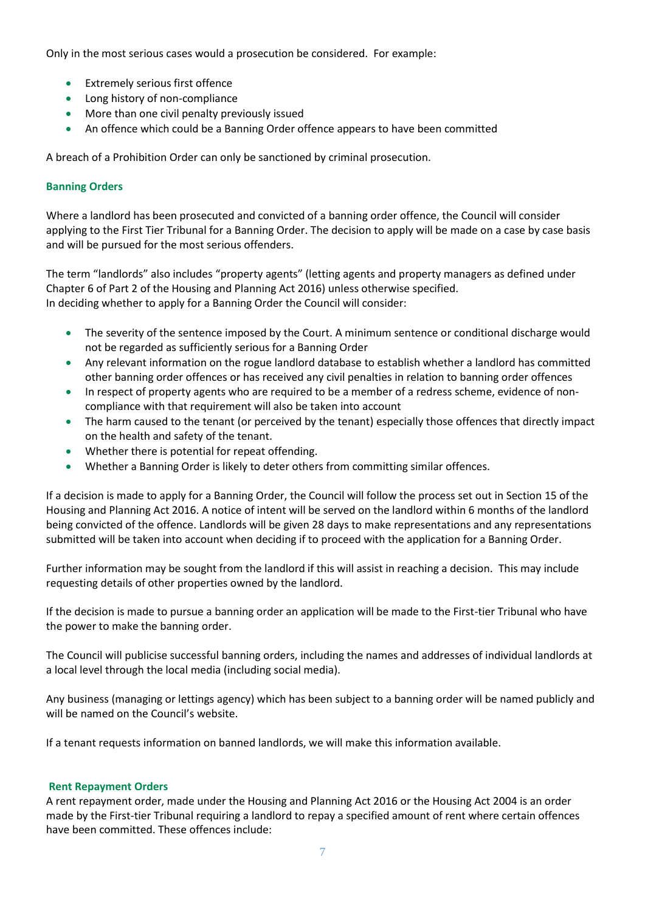Only in the most serious cases would a prosecution be considered. For example:

- Extremely serious first offence
- Long history of non-compliance
- More than one civil penalty previously issued
- An offence which could be a Banning Order offence appears to have been committed

A breach of a Prohibition Order can only be sanctioned by criminal prosecution.

#### **Banning Orders**

Where a landlord has been prosecuted and convicted of a banning order offence, the Council will consider applying to the First Tier Tribunal for a Banning Order. The decision to apply will be made on a case by case basis and will be pursued for the most serious offenders.

The term "landlords" also includes "property agents" (letting agents and property managers as defined under Chapter 6 of Part 2 of the Housing and Planning Act 2016) unless otherwise specified. In deciding whether to apply for a Banning Order the Council will consider:

- The severity of the sentence imposed by the Court. A minimum sentence or conditional discharge would not be regarded as sufficiently serious for a Banning Order
- Any relevant information on the rogue landlord database to establish whether a landlord has committed other banning order offences or has received any civil penalties in relation to banning order offences
- In respect of property agents who are required to be a member of a redress scheme, evidence of noncompliance with that requirement will also be taken into account
- The harm caused to the tenant (or perceived by the tenant) especially those offences that directly impact on the health and safety of the tenant.
- Whether there is potential for repeat offending.
- Whether a Banning Order is likely to deter others from committing similar offences.

If a decision is made to apply for a Banning Order, the Council will follow the process set out in Section 15 of the Housing and Planning Act 2016. A notice of intent will be served on the landlord within 6 months of the landlord being convicted of the offence. Landlords will be given 28 days to make representations and any representations submitted will be taken into account when deciding if to proceed with the application for a Banning Order.

Further information may be sought from the landlord if this will assist in reaching a decision. This may include requesting details of other properties owned by the landlord.

If the decision is made to pursue a banning order an application will be made to the First-tier Tribunal who have the power to make the banning order.

The Council will publicise successful banning orders, including the names and addresses of individual landlords at a local level through the local media (including social media).

Any business (managing or lettings agency) which has been subject to a banning order will be named publicly and will be named on the Council's website.

If a tenant requests information on banned landlords, we will make this information available.

#### **Rent Repayment Orders**

A rent repayment order, made under the Housing and Planning Act 2016 or the Housing Act 2004 is an order made by the First-tier Tribunal requiring a landlord to repay a specified amount of rent where certain offences have been committed. These offences include: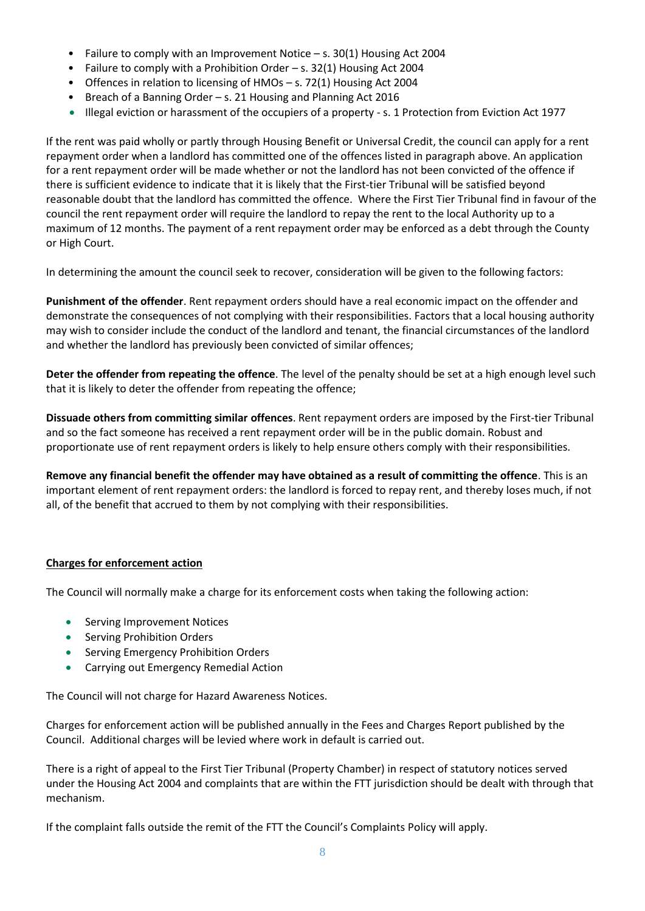- Failure to comply with an Improvement Notice s. 30(1) Housing Act 2004
- Failure to comply with a Prohibition Order s. 32(1) Housing Act 2004
- Offences in relation to licensing of HMOs s. 72(1) Housing Act 2004
- Breach of a Banning Order s. 21 Housing and Planning Act 2016
- Illegal eviction or harassment of the occupiers of a property s. 1 Protection from Eviction Act 1977

If the rent was paid wholly or partly through Housing Benefit or Universal Credit, the council can apply for a rent repayment order when a landlord has committed one of the offences listed in paragraph above. An application for a rent repayment order will be made whether or not the landlord has not been convicted of the offence if there is sufficient evidence to indicate that it is likely that the First-tier Tribunal will be satisfied beyond reasonable doubt that the landlord has committed the offence. Where the First Tier Tribunal find in favour of the council the rent repayment order will require the landlord to repay the rent to the local Authority up to a maximum of 12 months. The payment of a rent repayment order may be enforced as a debt through the County or High Court.

In determining the amount the council seek to recover, consideration will be given to the following factors:

**Punishment of the offender**. Rent repayment orders should have a real economic impact on the offender and demonstrate the consequences of not complying with their responsibilities. Factors that a local housing authority may wish to consider include the conduct of the landlord and tenant, the financial circumstances of the landlord and whether the landlord has previously been convicted of similar offences;

**Deter the offender from repeating the offence**. The level of the penalty should be set at a high enough level such that it is likely to deter the offender from repeating the offence;

**Dissuade others from committing similar offences**. Rent repayment orders are imposed by the First-tier Tribunal and so the fact someone has received a rent repayment order will be in the public domain. Robust and proportionate use of rent repayment orders is likely to help ensure others comply with their responsibilities.

**Remove any financial benefit the offender may have obtained as a result of committing the offence**. This is an important element of rent repayment orders: the landlord is forced to repay rent, and thereby loses much, if not all, of the benefit that accrued to them by not complying with their responsibilities.

## **Charges for enforcement action**

The Council will normally make a charge for its enforcement costs when taking the following action:

- Serving Improvement Notices
- Serving Prohibition Orders
- Serving Emergency Prohibition Orders
- Carrying out Emergency Remedial Action

The Council will not charge for Hazard Awareness Notices.

Charges for enforcement action will be published annually in the Fees and Charges Report published by the Council. Additional charges will be levied where work in default is carried out.

There is a right of appeal to the First Tier Tribunal (Property Chamber) in respect of statutory notices served under the Housing Act 2004 and complaints that are within the FTT jurisdiction should be dealt with through that mechanism.

If the complaint falls outside the remit of the FTT the Council's Complaints Policy will apply.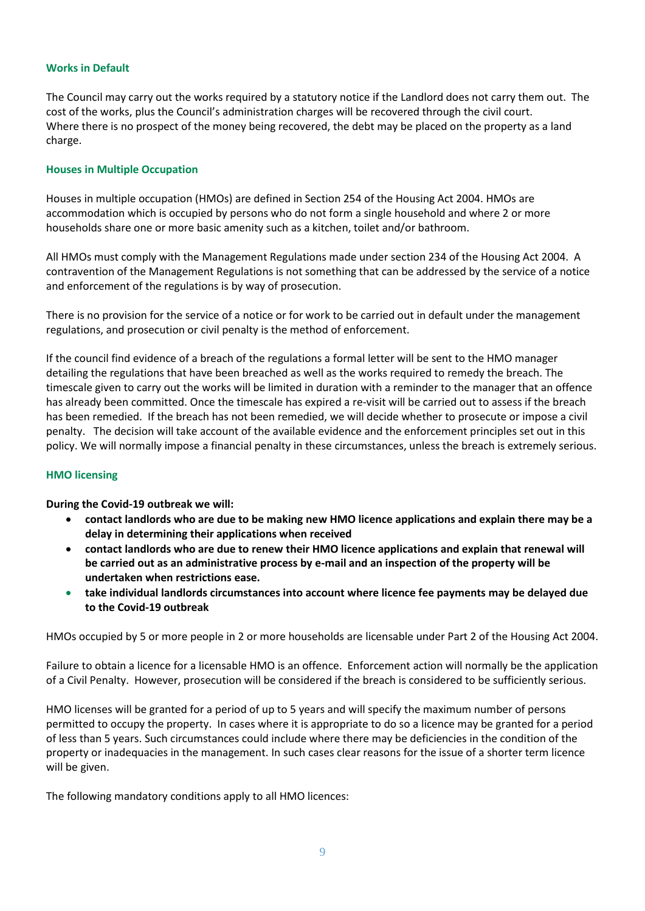### **Works in Default**

The Council may carry out the works required by a statutory notice if the Landlord does not carry them out. The cost of the works, plus the Council's administration charges will be recovered through the civil court. Where there is no prospect of the money being recovered, the debt may be placed on the property as a land charge.

#### **Houses in Multiple Occupation**

Houses in multiple occupation (HMOs) are defined in Section 254 of the Housing Act 2004. HMOs are accommodation which is occupied by persons who do not form a single household and where 2 or more households share one or more basic amenity such as a kitchen, toilet and/or bathroom.

All HMOs must comply with the Management Regulations made under section 234 of the Housing Act 2004. A contravention of the Management Regulations is not something that can be addressed by the service of a notice and enforcement of the regulations is by way of prosecution.

There is no provision for the service of a notice or for work to be carried out in default under the management regulations, and prosecution or civil penalty is the method of enforcement.

If the council find evidence of a breach of the regulations a formal letter will be sent to the HMO manager detailing the regulations that have been breached as well as the works required to remedy the breach. The timescale given to carry out the works will be limited in duration with a reminder to the manager that an offence has already been committed. Once the timescale has expired a re-visit will be carried out to assess if the breach has been remedied. If the breach has not been remedied, we will decide whether to prosecute or impose a civil penalty. The decision will take account of the available evidence and the enforcement principles set out in this policy. We will normally impose a financial penalty in these circumstances, unless the breach is extremely serious.

#### **HMO licensing**

**During the Covid-19 outbreak we will:**

- **contact landlords who are due to be making new HMO licence applications and explain there may be a delay in determining their applications when received**
- **contact landlords who are due to renew their HMO licence applications and explain that renewal will be carried out as an administrative process by e-mail and an inspection of the property will be undertaken when restrictions ease.**
- **take individual landlords circumstances into account where licence fee payments may be delayed due to the Covid-19 outbreak**

HMOs occupied by 5 or more people in 2 or more households are licensable under Part 2 of the Housing Act 2004.

Failure to obtain a licence for a licensable HMO is an offence. Enforcement action will normally be the application of a Civil Penalty. However, prosecution will be considered if the breach is considered to be sufficiently serious.

HMO licenses will be granted for a period of up to 5 years and will specify the maximum number of persons permitted to occupy the property. In cases where it is appropriate to do so a licence may be granted for a period of less than 5 years. Such circumstances could include where there may be deficiencies in the condition of the property or inadequacies in the management. In such cases clear reasons for the issue of a shorter term licence will be given.

The following mandatory conditions apply to all HMO licences: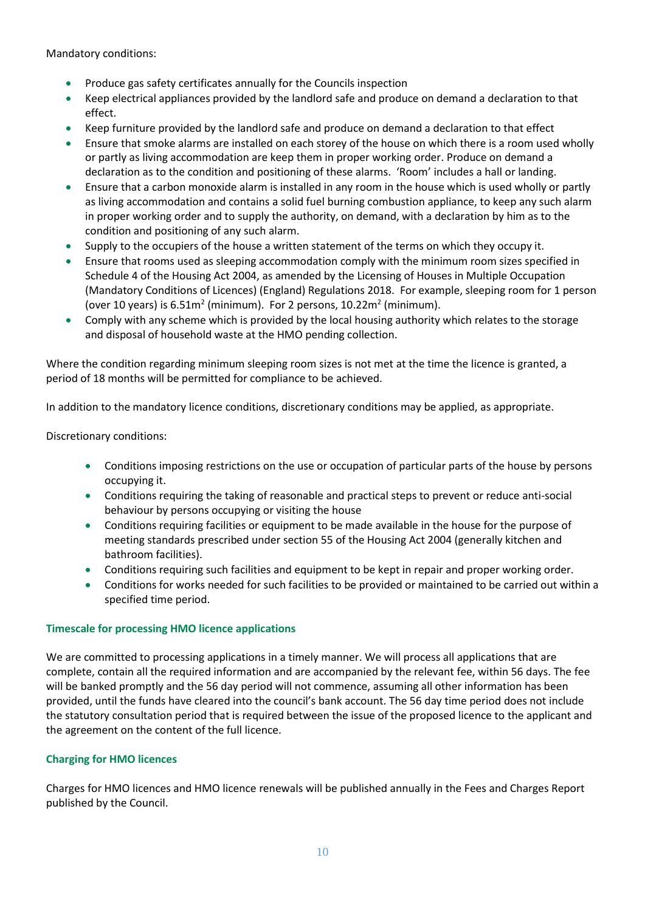Mandatory conditions:

- Produce gas safety certificates annually for the Councils inspection
- Keep electrical appliances provided by the landlord safe and produce on demand a declaration to that effect.
- Keep furniture provided by the landlord safe and produce on demand a declaration to that effect
- Ensure that smoke alarms are installed on each storey of the house on which there is a room used wholly or partly as living accommodation are keep them in proper working order. Produce on demand a declaration as to the condition and positioning of these alarms. 'Room' includes a hall or landing.
- Ensure that a carbon monoxide alarm is installed in any room in the house which is used wholly or partly as living accommodation and contains a solid fuel burning combustion appliance, to keep any such alarm in proper working order and to supply the authority, on demand, with a declaration by him as to the condition and positioning of any such alarm.
- Supply to the occupiers of the house a written statement of the terms on which they occupy it.
- Ensure that rooms used as sleeping accommodation comply with the minimum room sizes specified in Schedule 4 of the Housing Act 2004, as amended by the Licensing of Houses in Multiple Occupation (Mandatory Conditions of Licences) (England) Regulations 2018. For example, sleeping room for 1 person (over 10 years) is  $6.51m^2$  (minimum). For 2 persons, 10.22m<sup>2</sup> (minimum).
- Comply with any scheme which is provided by the local housing authority which relates to the storage and disposal of household waste at the HMO pending collection.

Where the condition regarding minimum sleeping room sizes is not met at the time the licence is granted, a period of 18 months will be permitted for compliance to be achieved.

In addition to the mandatory licence conditions, discretionary conditions may be applied, as appropriate.

Discretionary conditions:

- Conditions imposing restrictions on the use or occupation of particular parts of the house by persons occupying it.
- Conditions requiring the taking of reasonable and practical steps to prevent or reduce anti-social behaviour by persons occupying or visiting the house
- Conditions requiring facilities or equipment to be made available in the house for the purpose of meeting standards prescribed under section 55 of the Housing Act 2004 (generally kitchen and bathroom facilities).
- Conditions requiring such facilities and equipment to be kept in repair and proper working order.
- Conditions for works needed for such facilities to be provided or maintained to be carried out within a specified time period.

#### **Timescale for processing HMO licence applications**

We are committed to processing applications in a timely manner. We will process all applications that are complete, contain all the required information and are accompanied by the relevant fee, within 56 days. The fee will be banked promptly and the 56 day period will not commence, assuming all other information has been provided, until the funds have cleared into the council's bank account. The 56 day time period does not include the statutory consultation period that is required between the issue of the proposed licence to the applicant and the agreement on the content of the full licence.

## **Charging for HMO licences**

Charges for HMO licences and HMO licence renewals will be published annually in the Fees and Charges Report published by the Council.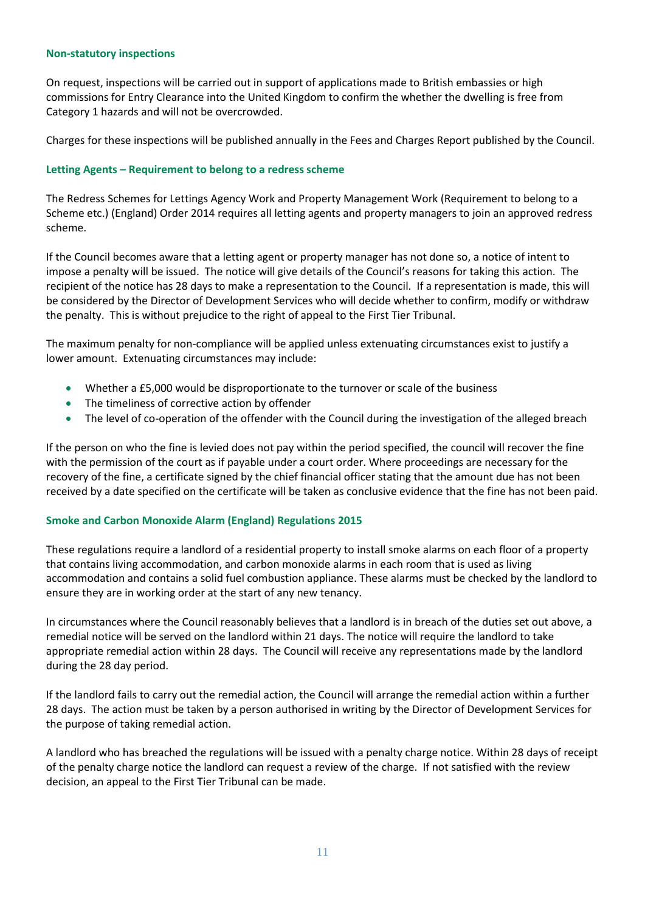#### **Non-statutory inspections**

On request, inspections will be carried out in support of applications made to British embassies or high commissions for Entry Clearance into the United Kingdom to confirm the whether the dwelling is free from Category 1 hazards and will not be overcrowded.

Charges for these inspections will be published annually in the Fees and Charges Report published by the Council.

#### **Letting Agents – Requirement to belong to a redress scheme**

The Redress Schemes for Lettings Agency Work and Property Management Work (Requirement to belong to a Scheme etc.) (England) Order 2014 requires all letting agents and property managers to join an approved redress scheme.

If the Council becomes aware that a letting agent or property manager has not done so, a notice of intent to impose a penalty will be issued. The notice will give details of the Council's reasons for taking this action. The recipient of the notice has 28 days to make a representation to the Council. If a representation is made, this will be considered by the Director of Development Services who will decide whether to confirm, modify or withdraw the penalty. This is without prejudice to the right of appeal to the First Tier Tribunal.

The maximum penalty for non-compliance will be applied unless extenuating circumstances exist to justify a lower amount. Extenuating circumstances may include:

- Whether a £5,000 would be disproportionate to the turnover or scale of the business
- The timeliness of corrective action by offender
- The level of co-operation of the offender with the Council during the investigation of the alleged breach

If the person on who the fine is levied does not pay within the period specified, the council will recover the fine with the permission of the court as if payable under a court order. Where proceedings are necessary for the recovery of the fine, a certificate signed by the chief financial officer stating that the amount due has not been received by a date specified on the certificate will be taken as conclusive evidence that the fine has not been paid.

#### **Smoke and Carbon Monoxide Alarm (England) Regulations 2015**

These regulations require a landlord of a residential property to install smoke alarms on each floor of a property that contains living accommodation, and carbon monoxide alarms in each room that is used as living accommodation and contains a solid fuel combustion appliance. These alarms must be checked by the landlord to ensure they are in working order at the start of any new tenancy.

In circumstances where the Council reasonably believes that a landlord is in breach of the duties set out above, a remedial notice will be served on the landlord within 21 days. The notice will require the landlord to take appropriate remedial action within 28 days. The Council will receive any representations made by the landlord during the 28 day period.

If the landlord fails to carry out the remedial action, the Council will arrange the remedial action within a further 28 days. The action must be taken by a person authorised in writing by the Director of Development Services for the purpose of taking remedial action.

A landlord who has breached the regulations will be issued with a penalty charge notice. Within 28 days of receipt of the penalty charge notice the landlord can request a review of the charge. If not satisfied with the review decision, an appeal to the First Tier Tribunal can be made.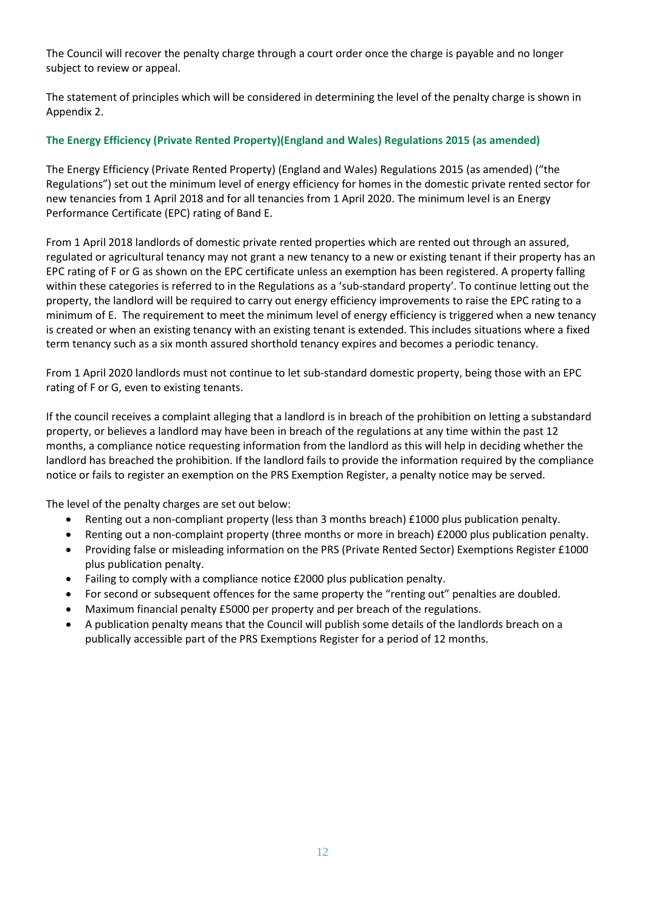The Council will recover the penalty charge through a court order once the charge is payable and no longer subject to review or appeal.

The statement of principles which will be considered in determining the level of the penalty charge is shown in Appendix 2.

## **The Energy Efficiency (Private Rented Property)(England and Wales) Regulations 2015 (as amended)**

The Energy Efficiency (Private Rented Property) (England and Wales) Regulations 2015 (as amended) ("the Regulations") set out the minimum level of energy efficiency for homes in the domestic private rented sector for new tenancies from 1 April 2018 and for all tenancies from 1 April 2020. The minimum level is an Energy Performance Certificate (EPC) rating of Band E.

From 1 April 2018 landlords of domestic private rented properties which are rented out through an assured, regulated or agricultural tenancy may not grant a new tenancy to a new or existing tenant if their property has an EPC rating of F or G as shown on the EPC certificate unless an exemption has been registered. A property falling within these categories is referred to in the Regulations as a 'sub-standard property'. To continue letting out the property, the landlord will be required to carry out energy efficiency improvements to raise the EPC rating to a minimum of E. The requirement to meet the minimum level of energy efficiency is triggered when a new tenancy is created or when an existing tenancy with an existing tenant is extended. This includes situations where a fixed term tenancy such as a six month assured shorthold tenancy expires and becomes a periodic tenancy.

From 1 April 2020 landlords must not continue to let sub-standard domestic property, being those with an EPC rating of F or G, even to existing tenants.

If the council receives a complaint alleging that a landlord is in breach of the prohibition on letting a substandard property, or believes a landlord may have been in breach of the regulations at any time within the past 12 months, a compliance notice requesting information from the landlord as this will help in deciding whether the landlord has breached the prohibition. If the landlord fails to provide the information required by the compliance notice or fails to register an exemption on the PRS Exemption Register, a penalty notice may be served.

The level of the penalty charges are set out below:

- Renting out a non-compliant property (less than 3 months breach) £1000 plus publication penalty.
- Renting out a non-complaint property (three months or more in breach) £2000 plus publication penalty.
- Providing false or misleading information on the PRS (Private Rented Sector) Exemptions Register £1000 plus publication penalty.
- Failing to comply with a compliance notice £2000 plus publication penalty.
- For second or subsequent offences for the same property the "renting out" penalties are doubled.
- Maximum financial penalty £5000 per property and per breach of the regulations.
- A publication penalty means that the Council will publish some details of the landlords breach on a publically accessible part of the PRS Exemptions Register for a period of 12 months.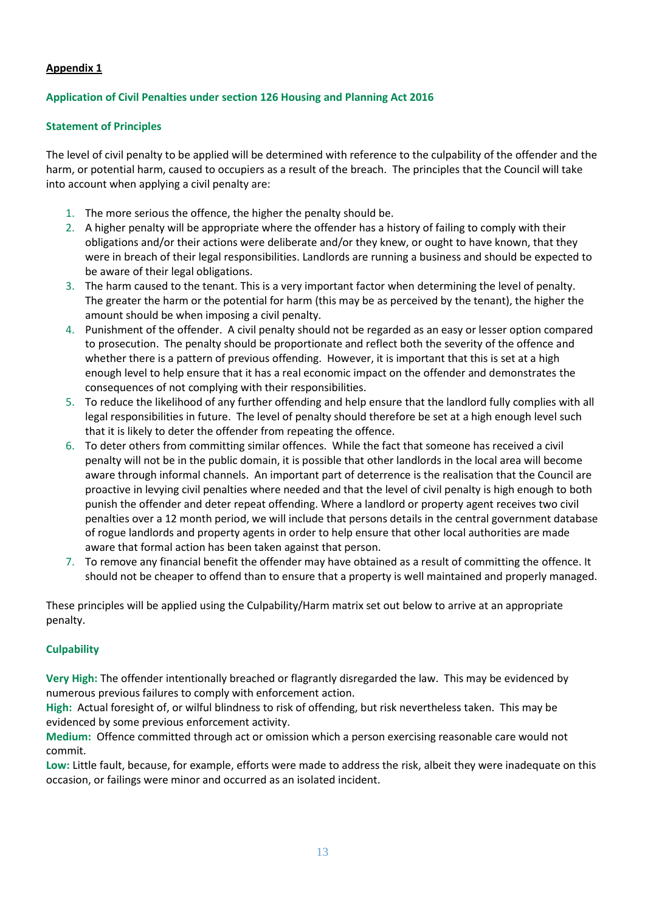## **Appendix 1**

## **Application of Civil Penalties under section 126 Housing and Planning Act 2016**

### **Statement of Principles**

The level of civil penalty to be applied will be determined with reference to the culpability of the offender and the harm, or potential harm, caused to occupiers as a result of the breach. The principles that the Council will take into account when applying a civil penalty are:

- 1. The more serious the offence, the higher the penalty should be.
- 2. A higher penalty will be appropriate where the offender has a history of failing to comply with their obligations and/or their actions were deliberate and/or they knew, or ought to have known, that they were in breach of their legal responsibilities. Landlords are running a business and should be expected to be aware of their legal obligations.
- 3. The harm caused to the tenant. This is a very important factor when determining the level of penalty. The greater the harm or the potential for harm (this may be as perceived by the tenant), the higher the amount should be when imposing a civil penalty.
- 4. Punishment of the offender. A civil penalty should not be regarded as an easy or lesser option compared to prosecution. The penalty should be proportionate and reflect both the severity of the offence and whether there is a pattern of previous offending. However, it is important that this is set at a high enough level to help ensure that it has a real economic impact on the offender and demonstrates the consequences of not complying with their responsibilities.
- 5. To reduce the likelihood of any further offending and help ensure that the landlord fully complies with all legal responsibilities in future. The level of penalty should therefore be set at a high enough level such that it is likely to deter the offender from repeating the offence.
- 6. To deter others from committing similar offences. While the fact that someone has received a civil penalty will not be in the public domain, it is possible that other landlords in the local area will become aware through informal channels. An important part of deterrence is the realisation that the Council are proactive in levying civil penalties where needed and that the level of civil penalty is high enough to both punish the offender and deter repeat offending. Where a landlord or property agent receives two civil penalties over a 12 month period, we will include that persons details in the central government database of rogue landlords and property agents in order to help ensure that other local authorities are made aware that formal action has been taken against that person.
- 7. To remove any financial benefit the offender may have obtained as a result of committing the offence. It should not be cheaper to offend than to ensure that a property is well maintained and properly managed.

These principles will be applied using the Culpability/Harm matrix set out below to arrive at an appropriate penalty.

## **Culpability**

**Very High:** The offender intentionally breached or flagrantly disregarded the law. This may be evidenced by numerous previous failures to comply with enforcement action.

**High:** Actual foresight of, or wilful blindness to risk of offending, but risk nevertheless taken. This may be evidenced by some previous enforcement activity.

**Medium:** Offence committed through act or omission which a person exercising reasonable care would not commit.

**Low:** Little fault, because, for example, efforts were made to address the risk, albeit they were inadequate on this occasion, or failings were minor and occurred as an isolated incident.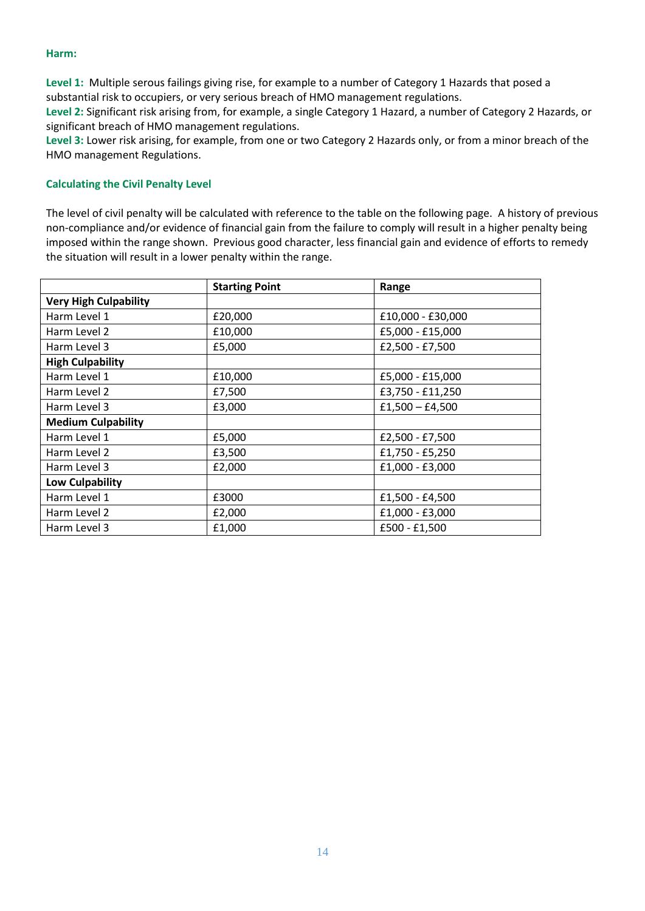#### **Harm:**

**Level 1:** Multiple serous failings giving rise, for example to a number of Category 1 Hazards that posed a substantial risk to occupiers, or very serious breach of HMO management regulations.

**Level 2:** Significant risk arising from, for example, a single Category 1 Hazard, a number of Category 2 Hazards, or significant breach of HMO management regulations.

**Level 3:** Lower risk arising, for example, from one or two Category 2 Hazards only, or from a minor breach of the HMO management Regulations.

#### **Calculating the Civil Penalty Level**

The level of civil penalty will be calculated with reference to the table on the following page. A history of previous non-compliance and/or evidence of financial gain from the failure to comply will result in a higher penalty being imposed within the range shown. Previous good character, less financial gain and evidence of efforts to remedy the situation will result in a lower penalty within the range.

|                              | <b>Starting Point</b>        | Range             |  |
|------------------------------|------------------------------|-------------------|--|
| <b>Very High Culpability</b> |                              |                   |  |
| Harm Level 1                 | £20,000<br>£10,000 - £30,000 |                   |  |
| Harm Level 2                 | £10,000                      | £5,000 - £15,000  |  |
| Harm Level 3                 | £5,000                       | £2,500 - £7,500   |  |
| <b>High Culpability</b>      |                              |                   |  |
| Harm Level 1                 | £10,000                      | £5,000 - £15,000  |  |
| Harm Level 2                 | £7,500                       | £3,750 - £11,250  |  |
| Harm Level 3                 | £3,000                       | $£1,500 - £4,500$ |  |
| <b>Medium Culpability</b>    |                              |                   |  |
| Harm Level 1                 | £5,000                       | £2,500 - £7,500   |  |
| £3,500<br>Harm Level 2       |                              | £1,750 - £5,250   |  |
| Harm Level 3                 | £2,000                       | £1,000 - £3,000   |  |
| <b>Low Culpability</b>       |                              |                   |  |
| Harm Level 1                 | £3000                        | £1,500 - £4,500   |  |
| Harm Level 2                 | £2,000                       | £1,000 - £3,000   |  |
| Harm Level 3                 | £1,000                       | £500 - £1,500     |  |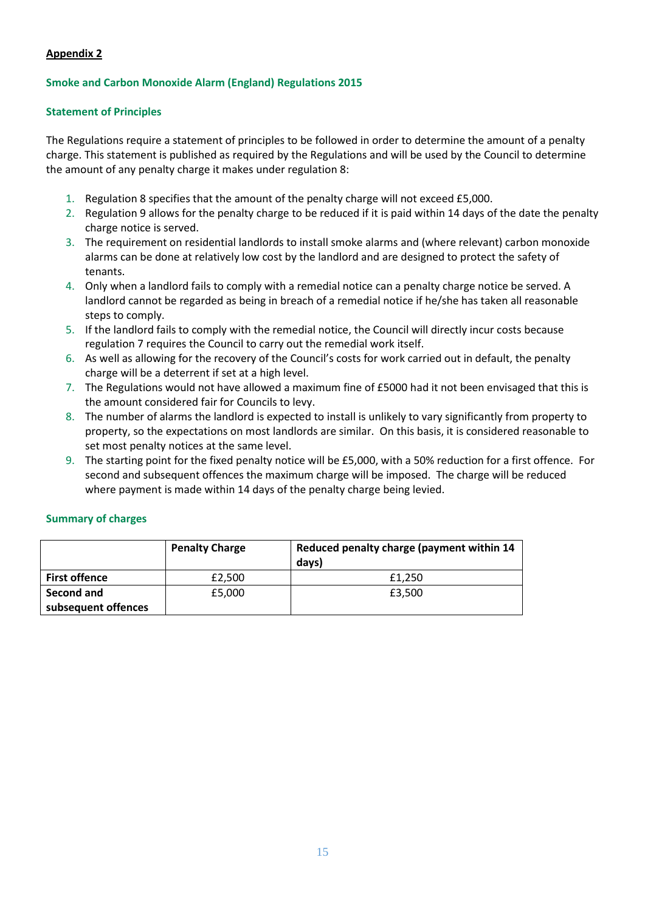## **Appendix 2**

### **Smoke and Carbon Monoxide Alarm (England) Regulations 2015**

#### **Statement of Principles**

The Regulations require a statement of principles to be followed in order to determine the amount of a penalty charge. This statement is published as required by the Regulations and will be used by the Council to determine the amount of any penalty charge it makes under regulation 8:

- 1. Regulation 8 specifies that the amount of the penalty charge will not exceed £5,000.
- 2. Regulation 9 allows for the penalty charge to be reduced if it is paid within 14 days of the date the penalty charge notice is served.
- 3. The requirement on residential landlords to install smoke alarms and (where relevant) carbon monoxide alarms can be done at relatively low cost by the landlord and are designed to protect the safety of tenants.
- 4. Only when a landlord fails to comply with a remedial notice can a penalty charge notice be served. A landlord cannot be regarded as being in breach of a remedial notice if he/she has taken all reasonable steps to comply.
- 5. If the landlord fails to comply with the remedial notice, the Council will directly incur costs because regulation 7 requires the Council to carry out the remedial work itself.
- 6. As well as allowing for the recovery of the Council's costs for work carried out in default, the penalty charge will be a deterrent if set at a high level.
- 7. The Regulations would not have allowed a maximum fine of £5000 had it not been envisaged that this is the amount considered fair for Councils to levy.
- 8. The number of alarms the landlord is expected to install is unlikely to vary significantly from property to property, so the expectations on most landlords are similar. On this basis, it is considered reasonable to set most penalty notices at the same level.
- 9. The starting point for the fixed penalty notice will be £5,000, with a 50% reduction for a first offence. For second and subsequent offences the maximum charge will be imposed. The charge will be reduced where payment is made within 14 days of the penalty charge being levied.

#### **Summary of charges**

|                      | <b>Penalty Charge</b> | Reduced penalty charge (payment within 14<br>days) |
|----------------------|-----------------------|----------------------------------------------------|
| <b>First offence</b> | £2,500                | £1.250                                             |
| <b>Second and</b>    | £5,000                | £3.500                                             |
| subsequent offences  |                       |                                                    |